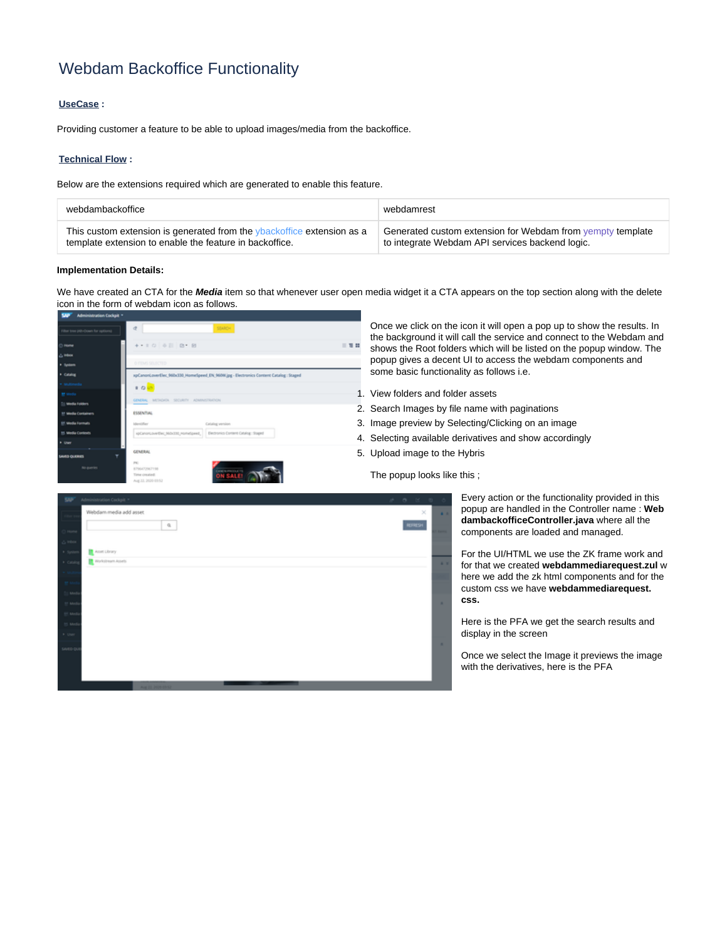# Webdam Backoffice Functionality

## **UseCase :**

Providing customer a feature to be able to upload images/media from the backoffice.

### **Technical Flow :**

Below are the extensions required which are generated to enable this feature.

| webdambackoffice                                                       | webdamrest                                                 |
|------------------------------------------------------------------------|------------------------------------------------------------|
| This custom extension is generated from the vbackoffice extension as a | Generated custom extension for Webdam from vempty template |
| template extension to enable the feature in backoffice.                | to integrate Webdam API services backend logic.            |

#### **Implementation Details:**

We have created an CTA for the **Media** item so that whenever user open media widget it a CTA appears on the top section along with the delete icon in the form of webdam icon as follows.



Once we click on the icon it will open a pop up to show the results. In the background it will call the service and connect to the Webdam and shows the Root folders which will be listed on the popup window. The popup gives a decent UI to access the webdam components and some basic functionality as follows i.e.

- 1. View folders and folder assets
- 2. Search Images by file name with paginations
- 3. Image preview by Selecting/Clicking on an image
- 4. Selecting available derivatives and show accordingly
- 5. Upload image to the Hybris

The popup looks like this ;



Every action or the functionality provided in this popup are handled in the Controller name : **Web dambackofficeController.java** where all the components are loaded and managed.

For the UI/HTML we use the ZK frame work and for that we created **webdammediarequest.zul** w here we add the zk html components and for the custom css we have **webdammediarequest. css.**

Here is the PFA we get the search results and display in the screen

Once we select the Image it previews the image with the derivatives, here is the PFA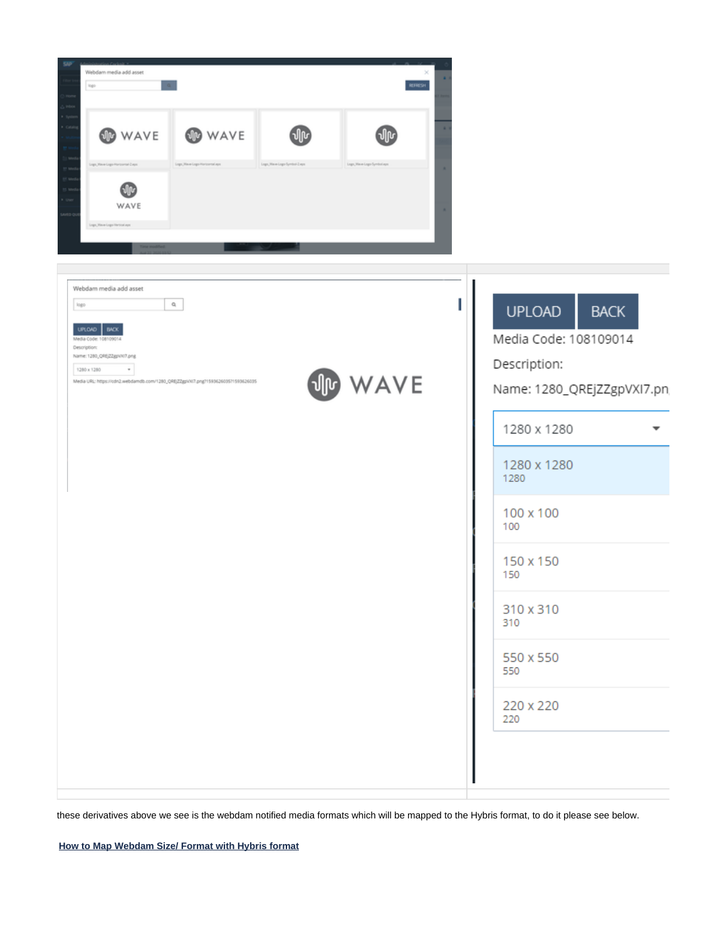

| Webdam media add asset<br>$\Omega_i$<br>logo<br>UPLOAD BACK<br>Media Code: 108109014<br>Description:<br>Name: 1280_QRE/ZZgpvN7.png<br>1280 x 1280<br>$\scriptstyle\rm T$<br>Media URL: https://cdn2.webdamdb.com/1280_0RE/Z2gpi/xl7.png?159362603571593626035 | WAVE | <b>BACK</b><br><b>UPLOAD</b><br>Media Code: 108109014<br>Description:<br>Name: 1280_QREjZZgpVXI7.pn |
|---------------------------------------------------------------------------------------------------------------------------------------------------------------------------------------------------------------------------------------------------------------|------|-----------------------------------------------------------------------------------------------------|
|                                                                                                                                                                                                                                                               |      | 1280 x 1280                                                                                         |
|                                                                                                                                                                                                                                                               |      | 1280 x 1280<br>1280                                                                                 |
|                                                                                                                                                                                                                                                               |      | 100 x 100<br>100                                                                                    |
|                                                                                                                                                                                                                                                               |      | 150 x 150<br>150                                                                                    |
|                                                                                                                                                                                                                                                               |      | 310 x 310<br>310                                                                                    |
|                                                                                                                                                                                                                                                               |      | 550 x 550<br>550                                                                                    |
|                                                                                                                                                                                                                                                               |      | 220 x 220<br>220                                                                                    |
|                                                                                                                                                                                                                                                               |      |                                                                                                     |
|                                                                                                                                                                                                                                                               |      |                                                                                                     |

these derivatives above we see is the webdam notified media formats which will be mapped to the Hybris format, to do it please see below.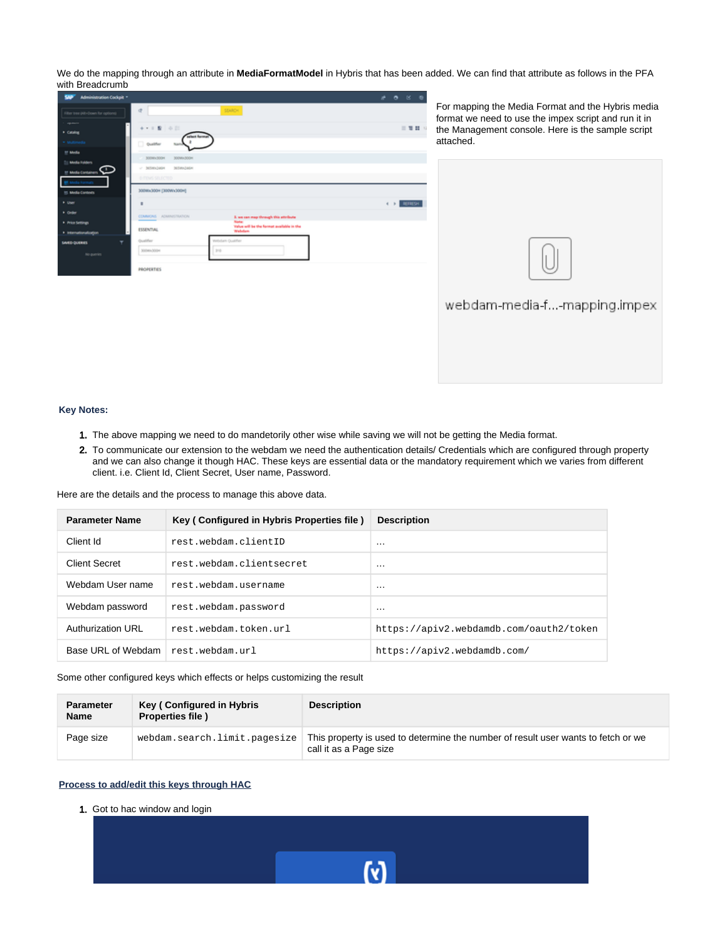We do the mapping through an attribute in **MediaFormatModel** in Hybris that has been added. We can find that attribute as follows in the PFA with Breadcrumb



For mapping the Media Format and the Hybris media format we need to use the impex script and run it in the Management console. Here is the sample script attached.



webdam-media-f...-mapping.impex

## **Key Notes:**

- 1. The above mapping we need to do mandetorily other wise while saving we will not be getting the Media format.
- 2. To communicate our extension to the webdam we need the authentication details/ Credentials which are configured through property and we can also change it though HAC. These keys are essential data or the mandatory requirement which we varies from different client. i.e. Client Id, Client Secret, User name, Password.

Here are the details and the process to manage this above data.

| <b>Parameter Name</b> | Key (Configured in Hybris Properties file) | <b>Description</b>                      |
|-----------------------|--------------------------------------------|-----------------------------------------|
| Client Id             | rest.webdam.clientID                       | .                                       |
| <b>Client Secret</b>  | rest.webdam.clientsecret                   | .                                       |
| Webdam User name      | rest.webdam.username                       | .                                       |
| Webdam password       | rest.webdam.password                       | .                                       |
| Authurization URI     | rest.webdam.token.url                      | https://apiv2.webdamdb.com/oauth2/token |
| Base URL of Webdam    | rest.webdam.url                            | https://apiv2.webdamdb.com/             |

Some other configured keys which effects or helps customizing the result

| <b>Parameter</b><br><b>Name</b> | Key (Configured in Hybris<br><b>Properties file</b> ) | <b>Description</b>                                                                                          |
|---------------------------------|-------------------------------------------------------|-------------------------------------------------------------------------------------------------------------|
| Page size                       | webdam.search.limit.pagesize                          | This property is used to determine the number of result user wants to fetch or we<br>call it as a Page size |

M

## **Process to add/edit this keys through HAC**

1. Got to hac window and login